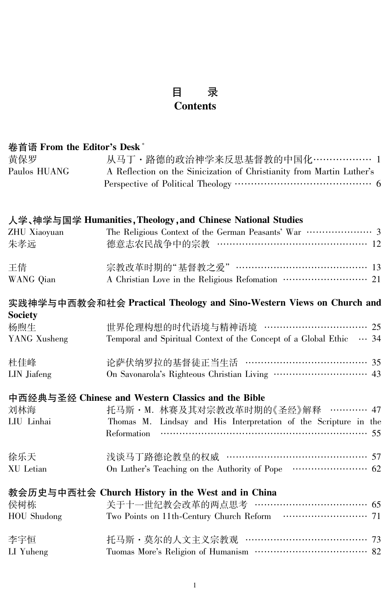#### 录 目 **Contents**

| 卷首语 From the Editor's Desk <sup>*</sup> |                           |
|-----------------------------------------|---------------------------|
| 黄保罗                                     | 从马丁 · 路德的政治神              |
| Paulos HUANG                            | A Reflection on the Sinic |

| 保罗         | 从马丁・路德的政治神学来反思基督教的中国化……………… 1                                         |
|------------|-----------------------------------------------------------------------|
| ulos HUANG | A Reflection on the Sinicization of Christianity from Martin Luther's |
|            |                                                                       |

## 人学、神学与国学 Humanities, Theology, and Chinese National Studies

| ZHU Xiaoyuan<br>朱孝远 | 德意志农民战争中的宗教 ……………………………………… 12  |  |
|---------------------|---------------------------------|--|
| 王倩<br>WANG Qian     | 宗教改革时期的"基督教之爱" ………………………………… 13 |  |

### 实践神学与中西教会和社会 Practical Theology and Sino-Western Views on Church and **Society**

| ~~~~~,<br>杨煦生<br>YANG Xusheng | 世界伦理构想的时代语境与精神语境 …………………………… 25<br>Temporal and Spiritual Context of the Concept of a Global Ethic $\cdots$ 34 |  |
|-------------------------------|----------------------------------------------------------------------------------------------------------------|--|
| 杜佳峰<br>LIN Jiafeng            | 论萨伏纳罗拉的基督徒正当生活 ………………………………… 35                                                                                |  |

## 中西经典与圣经 Chinese and Western Classics and the Bible

| 刘林海        | 托马斯 · M. 林赛及其对宗教改革时期的《圣经》解释 ………… 47                              |
|------------|------------------------------------------------------------------|
| LIU Linhai | Thomas M. Lindsay and His Interpretation of the Scripture in the |
|            |                                                                  |
| 徐乐天        | 浅谈马丁路德论教皇的权威 …………………………………… 57                                   |
| XU Letian  |                                                                  |

# 教会历史与中西社会 Church History in the West and in China

| 侯树栋<br>HOU Shudong | 关于十一世纪教会改革的两点思考 ……………………………… 65   |  |
|--------------------|-----------------------------------|--|
| 李宇恒<br>LI Yuheng   | 托马斯 · 莫尔的人文主义宗教观 ………………………………… 73 |  |